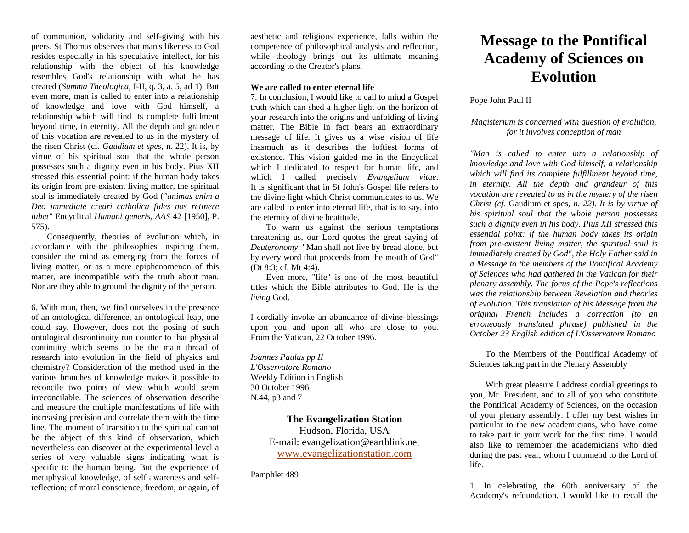of communion, solidarity and self-giving with his peers. St Thomas observes that man's likeness to God resides especially in his speculative intellect, for his relationship with the object of his knowledge resembles God's relationship with what he has created (*Summa Theologica*, I-II, q. 3, a. 5, ad 1). But even more, man is called to enter into a relationship of knowledge and love with God himself, a relationship which will find its complete fulfillment beyond time, in eternity. All the depth and grandeur of this vocation are revealed to us in the mystery of the risen Christ (cf. *Gaudium et spes*, n. 22). It is, by virtue of his spiritual soul that the whole person possesses such a dignity even in his body. Pius XII stressed this essential point: if the human body takes its origin from pre-existent living matter, the spiritual soul is immediately created by God (*"animas enim a Deo immediate creari catholica fides nos retinere iubet"* Encyclical *Humani generis, AAS* 42 [1950], P. 575).

Consequently, theories of evolution which, in accordance with the philosophies inspiring them, consider the mind as emerging from the forces of living matter, or as a mere epiphenomenon of this matter, are incompatible with the truth about man. Nor are they able to ground the dignity of the person.

6. With man, then, we find ourselves in the presence of an ontological difference, an ontological leap, one could say. However, does not the posing of such ontological discontinuity run counter to that physical continuity which seems to be the main thread of research into evolution in the field of physics and chemistry? Consideration of the method used in the various branches of knowledge makes it possible to reconcile two points of view which would seem irreconcilable. The sciences of observation describe and measure the multiple manifestations of life with increasing precision and correlate them with the time line. The moment of transition to the spiritual cannot be the object of this kind of observation, which nevertheless can discover at the experimental level a series of very valuable signs indicating what is specific to the human being. But the experience of metaphysical knowledge, of self awareness and selfreflection; of moral conscience, freedom, or again, of

aesthetic and religious experience, falls within the competence of philosophical analysis and reflection, while theology brings out its ultimate meaning according to the Creator's plans.

#### **We are called to enter eternal life**

7. In conclusion, I would like to call to mind a Gospel truth which can shed a higher light on the horizon of your research into the origins and unfolding of living matter. The Bible in fact bears an extraordinary message of life. It gives us a wise vision of life inasmuch as it describes the loftiest forms of existence. This vision guided me in the Encyclical which I dedicated to respect for human life, and which I called precisely *Evangelium vitae*. It is significant that in St John's Gospel life refers to the divine light which Christ communicates to us. We are called to enter into eternal life, that is to say, into the eternity of divine beatitude.

To warn us against the serious temptations threatening us, our Lord quotes the great saying of *Deuteronomy*: "Man shall not live by bread alone, but by every word that proceeds from the mouth of God" (Dt 8:3; cf. Mt 4:4).

Even more, "life" is one of the most beautiful titles which the Bible attributes to God. He is the *living* God.

I cordially invoke an abundance of divine blessings upon you and upon all who are close to you. From the Vatican, 22 October 1996.

*Ioannes Paulus pp II L'Osservatore Romano* Weekly Edition in English 30 October 1996 N.44, p3 and 7

## **The Evangelization Station**

Hudson, Florida, USA E-mail: evangelization@earthlink.net [www.evangelizationstation.com](http://www.pjpiisoe.org/)

Pamphlet 489

# **Message to the Pontifical Academy of Sciences on Evolution**

### Pope John Paul II

## *Magisterium is concerned with question of evolution, for it involves conception of man*

*"Man is called to enter into a relationship of knowledge and love with God himself, a relationship which will find its complete fulfillment beyond time, in eternity. All the depth and grandeur of this vocation are revealed to us in the mystery of the risen Christ (cf.* Gaudium et spes*, n. 22). It is by virtue of his spiritual soul that the whole person possesses such a dignity even in his body. Pius XII stressed this essential point: if the human body takes its origin from pre-existent living matter, the spiritual soul is immediately created by God", the Holy Father said in a Message to the members of the Pontifical Academy of Sciences who had gathered in the Vatican for their plenary assembly. The focus of the Pope's reflections was the relationship between Revelation and theories of evolution. This translation of his Message from the original French includes a correction (to an erroneously translated phrase) published in the October 23 English edition of L'Osservatore Romano*

To the Members of the Pontifical Academy of Sciences taking part in the Plenary Assembly

With great pleasure I address cordial greetings to you, Mr. President, and to all of you who constitute the Pontifical Academy of Sciences, on the occasion of your plenary assembly. I offer my best wishes in particular to the new academicians, who have come to take part in your work for the first time. I would also like to remember the academicians who died during the past year, whom I commend to the Lord of life.

1. In celebrating the 60th anniversary of the Academy's refoundation, I would like to recall the